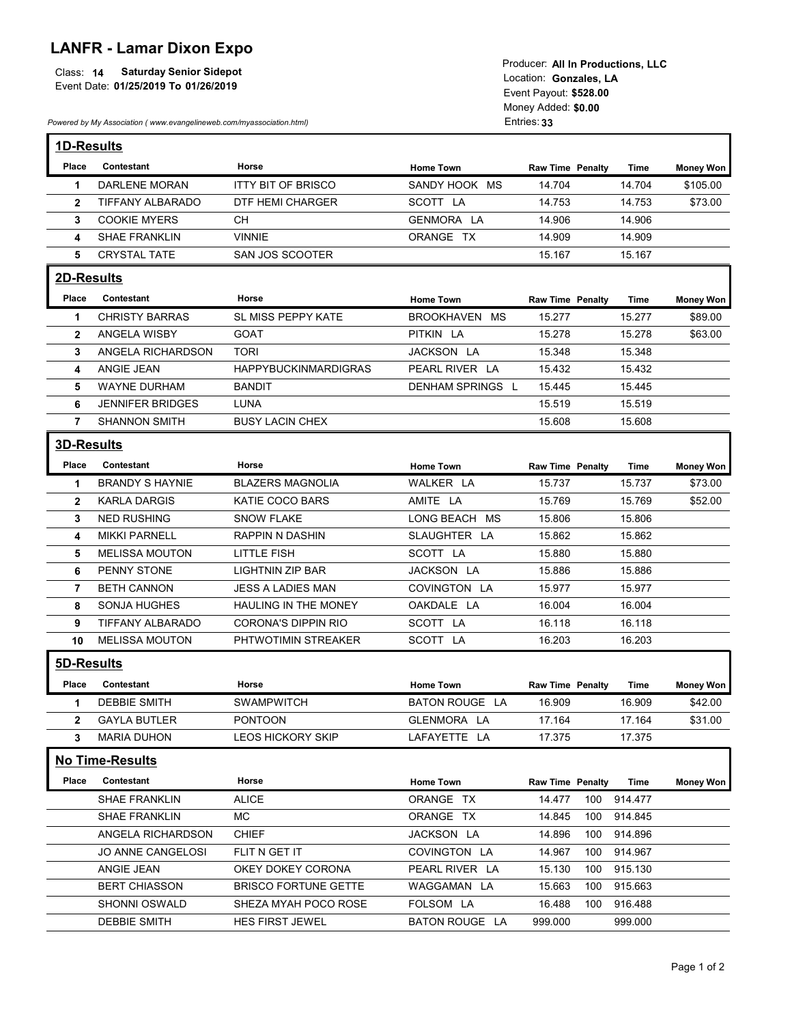## LANFR - Lamar Dixon Expo

|                                             | Touucei. All III FTOUUCHONS, LLC |
|---------------------------------------------|----------------------------------|
| Class: 14<br><b>Saturday Senior Sidepot</b> | Location: Gonzales. LA           |
| Event Date: 01/25/2019 To 01/26/2019        |                                  |
|                                             | Event Pavout: \$528.00           |

| <b>Saturday Senior Sidepot</b><br>Class: 14<br>Event Date: 01/25/2019 To 01/26/2019<br>Powered by My Association (www.evangelineweb.com/myassociation.html)<br>1D-Results<br>Contestant<br>Horse<br>Place<br>DARLENE MORAN<br><b>ITTY BIT OF BRISCO</b><br>-1<br>TIFFANY ALBARADO<br><b>DTF HEMI CHARGER</b><br>$\mathbf{2}$<br><b>COOKIE MYERS</b><br><b>CH</b><br>3<br><b>SHAE FRANKLIN</b><br><b>VINNIE</b><br>4<br><b>CRYSTAL TATE</b><br>SAN JOS SCOOTER<br>5<br>2D-Results<br>Contestant<br>Horse<br>Place<br><b>CHRISTY BARRAS</b><br>SL MISS PEPPY KATE<br>-1<br>ANGELA WISBY<br><b>GOAT</b><br>$\mathbf{2}$<br>ANGELA RICHARDSON<br><b>TORI</b><br>3<br>ANGIE JEAN<br>4<br>WAYNE DURHAM<br><b>BANDIT</b><br>5<br><b>JENNIFER BRIDGES</b><br>LUNA<br>6<br><b>SHANNON SMITH</b><br><b>BUSY LACIN CHEX</b><br>$\mathbf{7}$<br>3D-Results<br>Place Contestant<br>Horse<br><b>BRANDY S HAYNIE</b><br><b>BLAZERS MAGNOLIA</b><br>$\mathbf{1}$<br><b>KARLA DARGIS</b><br>KATIE COCO BARS<br>$\mathbf{2}$<br><b>NED RUSHING</b><br>3<br><b>SNOW FLAKE</b><br><b>MIKKI PARNELL</b><br>RAPPIN N DASHIN<br>4<br><b>MELISSA MOUTON</b><br>LITTLE FISH<br>5<br>PENNY STONE<br><b>LIGHTNIN ZIP BAR</b><br>6<br><b>BETH CANNON</b><br><b>JESS A LADIES MAN</b><br>7<br>SONJA HUGHES<br>8<br>TIFFANY ALBARADO<br>CORONA'S DIPPIN RIO<br>9<br><b>MELISSA MOUTON</b><br>10<br>5D-Results<br>Contestant<br>Place<br>Horse |                        | <b>LANFR - Lamar Dixon Expo</b> |                         | Producer: All In Productions, LLC<br>Location: Gonzales, LA<br>Event Payout: \$528.00<br>Money Added: \$0.00<br>Entries: 33 |                  |                  |
|-----------------------------------------------------------------------------------------------------------------------------------------------------------------------------------------------------------------------------------------------------------------------------------------------------------------------------------------------------------------------------------------------------------------------------------------------------------------------------------------------------------------------------------------------------------------------------------------------------------------------------------------------------------------------------------------------------------------------------------------------------------------------------------------------------------------------------------------------------------------------------------------------------------------------------------------------------------------------------------------------------------------------------------------------------------------------------------------------------------------------------------------------------------------------------------------------------------------------------------------------------------------------------------------------------------------------------------------------------------------------------------------------------------------|------------------------|---------------------------------|-------------------------|-----------------------------------------------------------------------------------------------------------------------------|------------------|------------------|
|                                                                                                                                                                                                                                                                                                                                                                                                                                                                                                                                                                                                                                                                                                                                                                                                                                                                                                                                                                                                                                                                                                                                                                                                                                                                                                                                                                                                                 |                        |                                 |                         |                                                                                                                             |                  |                  |
|                                                                                                                                                                                                                                                                                                                                                                                                                                                                                                                                                                                                                                                                                                                                                                                                                                                                                                                                                                                                                                                                                                                                                                                                                                                                                                                                                                                                                 |                        |                                 | <b>Home Town</b>        | <b>Raw Time Penalty</b>                                                                                                     | Time             | <b>Money Won</b> |
|                                                                                                                                                                                                                                                                                                                                                                                                                                                                                                                                                                                                                                                                                                                                                                                                                                                                                                                                                                                                                                                                                                                                                                                                                                                                                                                                                                                                                 |                        |                                 | SANDY HOOK MS           | 14.704                                                                                                                      | 14.704           | \$105.00         |
|                                                                                                                                                                                                                                                                                                                                                                                                                                                                                                                                                                                                                                                                                                                                                                                                                                                                                                                                                                                                                                                                                                                                                                                                                                                                                                                                                                                                                 |                        |                                 | SCOTT LA                | 14.753                                                                                                                      | 14.753           | \$73.00          |
|                                                                                                                                                                                                                                                                                                                                                                                                                                                                                                                                                                                                                                                                                                                                                                                                                                                                                                                                                                                                                                                                                                                                                                                                                                                                                                                                                                                                                 |                        |                                 | GENMORA LA              | 14.906                                                                                                                      | 14.906           |                  |
|                                                                                                                                                                                                                                                                                                                                                                                                                                                                                                                                                                                                                                                                                                                                                                                                                                                                                                                                                                                                                                                                                                                                                                                                                                                                                                                                                                                                                 |                        |                                 | ORANGE TX               | 14.909<br>15.167                                                                                                            | 14.909<br>15.167 |                  |
|                                                                                                                                                                                                                                                                                                                                                                                                                                                                                                                                                                                                                                                                                                                                                                                                                                                                                                                                                                                                                                                                                                                                                                                                                                                                                                                                                                                                                 |                        |                                 |                         |                                                                                                                             |                  |                  |
|                                                                                                                                                                                                                                                                                                                                                                                                                                                                                                                                                                                                                                                                                                                                                                                                                                                                                                                                                                                                                                                                                                                                                                                                                                                                                                                                                                                                                 |                        |                                 |                         |                                                                                                                             |                  |                  |
|                                                                                                                                                                                                                                                                                                                                                                                                                                                                                                                                                                                                                                                                                                                                                                                                                                                                                                                                                                                                                                                                                                                                                                                                                                                                                                                                                                                                                 |                        |                                 | <b>Home Town</b>        | <b>Raw Time Penalty</b>                                                                                                     | Time             | <b>Money Won</b> |
|                                                                                                                                                                                                                                                                                                                                                                                                                                                                                                                                                                                                                                                                                                                                                                                                                                                                                                                                                                                                                                                                                                                                                                                                                                                                                                                                                                                                                 |                        |                                 | BROOKHAVEN MS           | 15.277                                                                                                                      | 15.277           | \$89.00          |
|                                                                                                                                                                                                                                                                                                                                                                                                                                                                                                                                                                                                                                                                                                                                                                                                                                                                                                                                                                                                                                                                                                                                                                                                                                                                                                                                                                                                                 |                        |                                 | PITKIN LA<br>JACKSON LA | 15.278<br>15.348                                                                                                            | 15.278<br>15.348 | \$63.00          |
|                                                                                                                                                                                                                                                                                                                                                                                                                                                                                                                                                                                                                                                                                                                                                                                                                                                                                                                                                                                                                                                                                                                                                                                                                                                                                                                                                                                                                 |                        | HAPPYBUCKINMARDIGRAS            | PEARL RIVER LA          | 15.432                                                                                                                      | 15.432           |                  |
|                                                                                                                                                                                                                                                                                                                                                                                                                                                                                                                                                                                                                                                                                                                                                                                                                                                                                                                                                                                                                                                                                                                                                                                                                                                                                                                                                                                                                 |                        |                                 | DENHAM SPRINGS L        | 15.445                                                                                                                      | 15.445           |                  |
|                                                                                                                                                                                                                                                                                                                                                                                                                                                                                                                                                                                                                                                                                                                                                                                                                                                                                                                                                                                                                                                                                                                                                                                                                                                                                                                                                                                                                 |                        |                                 |                         | 15.519                                                                                                                      | 15.519           |                  |
|                                                                                                                                                                                                                                                                                                                                                                                                                                                                                                                                                                                                                                                                                                                                                                                                                                                                                                                                                                                                                                                                                                                                                                                                                                                                                                                                                                                                                 |                        |                                 |                         | 15.608                                                                                                                      | 15.608           |                  |
|                                                                                                                                                                                                                                                                                                                                                                                                                                                                                                                                                                                                                                                                                                                                                                                                                                                                                                                                                                                                                                                                                                                                                                                                                                                                                                                                                                                                                 |                        |                                 |                         |                                                                                                                             |                  |                  |
|                                                                                                                                                                                                                                                                                                                                                                                                                                                                                                                                                                                                                                                                                                                                                                                                                                                                                                                                                                                                                                                                                                                                                                                                                                                                                                                                                                                                                 |                        |                                 | <b>Home Town</b>        | Raw Time Penalty                                                                                                            | Time             | <b>Money Won</b> |
|                                                                                                                                                                                                                                                                                                                                                                                                                                                                                                                                                                                                                                                                                                                                                                                                                                                                                                                                                                                                                                                                                                                                                                                                                                                                                                                                                                                                                 |                        |                                 | WALKER LA               | 15.737                                                                                                                      | 15.737           | \$73.00          |
|                                                                                                                                                                                                                                                                                                                                                                                                                                                                                                                                                                                                                                                                                                                                                                                                                                                                                                                                                                                                                                                                                                                                                                                                                                                                                                                                                                                                                 |                        |                                 | AMITE LA                | 15.769                                                                                                                      | 15.769           | \$52.00          |
|                                                                                                                                                                                                                                                                                                                                                                                                                                                                                                                                                                                                                                                                                                                                                                                                                                                                                                                                                                                                                                                                                                                                                                                                                                                                                                                                                                                                                 |                        |                                 | LONG BEACH MS           | 15.806                                                                                                                      | 15.806           |                  |
|                                                                                                                                                                                                                                                                                                                                                                                                                                                                                                                                                                                                                                                                                                                                                                                                                                                                                                                                                                                                                                                                                                                                                                                                                                                                                                                                                                                                                 |                        |                                 | SLAUGHTER LA            | 15.862                                                                                                                      | 15.862           |                  |
|                                                                                                                                                                                                                                                                                                                                                                                                                                                                                                                                                                                                                                                                                                                                                                                                                                                                                                                                                                                                                                                                                                                                                                                                                                                                                                                                                                                                                 |                        |                                 | SCOTT LA                | 15.880                                                                                                                      | 15.880           |                  |
|                                                                                                                                                                                                                                                                                                                                                                                                                                                                                                                                                                                                                                                                                                                                                                                                                                                                                                                                                                                                                                                                                                                                                                                                                                                                                                                                                                                                                 |                        |                                 | JACKSON LA              | 15.886                                                                                                                      | 15.886           |                  |
|                                                                                                                                                                                                                                                                                                                                                                                                                                                                                                                                                                                                                                                                                                                                                                                                                                                                                                                                                                                                                                                                                                                                                                                                                                                                                                                                                                                                                 |                        |                                 | COVINGTON LA            | 15.977                                                                                                                      | 15.977           |                  |
|                                                                                                                                                                                                                                                                                                                                                                                                                                                                                                                                                                                                                                                                                                                                                                                                                                                                                                                                                                                                                                                                                                                                                                                                                                                                                                                                                                                                                 |                        | HAULING IN THE MONEY            | OAKDALE LA              | 16.004                                                                                                                      | 16.004           |                  |
|                                                                                                                                                                                                                                                                                                                                                                                                                                                                                                                                                                                                                                                                                                                                                                                                                                                                                                                                                                                                                                                                                                                                                                                                                                                                                                                                                                                                                 |                        |                                 | SCOTT LA                | 16.118                                                                                                                      | 16.118           |                  |
|                                                                                                                                                                                                                                                                                                                                                                                                                                                                                                                                                                                                                                                                                                                                                                                                                                                                                                                                                                                                                                                                                                                                                                                                                                                                                                                                                                                                                 |                        | PHTWOTIMIN STREAKER             | SCOTT LA                | 16.203                                                                                                                      | 16.203           |                  |
|                                                                                                                                                                                                                                                                                                                                                                                                                                                                                                                                                                                                                                                                                                                                                                                                                                                                                                                                                                                                                                                                                                                                                                                                                                                                                                                                                                                                                 |                        |                                 |                         |                                                                                                                             |                  |                  |
|                                                                                                                                                                                                                                                                                                                                                                                                                                                                                                                                                                                                                                                                                                                                                                                                                                                                                                                                                                                                                                                                                                                                                                                                                                                                                                                                                                                                                 |                        |                                 | Home Town               | <b>Raw Time Penalty</b>                                                                                                     | Time             | <b>Money Won</b> |
| $\mathbf 1$                                                                                                                                                                                                                                                                                                                                                                                                                                                                                                                                                                                                                                                                                                                                                                                                                                                                                                                                                                                                                                                                                                                                                                                                                                                                                                                                                                                                     | <b>DEBBIE SMITH</b>    | <b>SWAMPWITCH</b>               | BATON ROUGE LA          | 16.909                                                                                                                      | 16.909           | \$42.00          |
| $\mathbf{2}$                                                                                                                                                                                                                                                                                                                                                                                                                                                                                                                                                                                                                                                                                                                                                                                                                                                                                                                                                                                                                                                                                                                                                                                                                                                                                                                                                                                                    | <b>GAYLA BUTLER</b>    | <b>PONTOON</b>                  | GLENMORA LA             | 17.164                                                                                                                      | 17.164           | \$31.00          |
| 3 <sup>1</sup>                                                                                                                                                                                                                                                                                                                                                                                                                                                                                                                                                                                                                                                                                                                                                                                                                                                                                                                                                                                                                                                                                                                                                                                                                                                                                                                                                                                                  | <b>MARIA DUHON</b>     | <b>LEOS HICKORY SKIP</b>        | LAFAYETTE LA            | 17.375                                                                                                                      | 17.375           |                  |
|                                                                                                                                                                                                                                                                                                                                                                                                                                                                                                                                                                                                                                                                                                                                                                                                                                                                                                                                                                                                                                                                                                                                                                                                                                                                                                                                                                                                                 | <b>No Time-Results</b> |                                 |                         |                                                                                                                             |                  |                  |
| Place                                                                                                                                                                                                                                                                                                                                                                                                                                                                                                                                                                                                                                                                                                                                                                                                                                                                                                                                                                                                                                                                                                                                                                                                                                                                                                                                                                                                           | Contestant             | Horse                           | <b>Home Town</b>        | Raw Time Penalty                                                                                                            | Time             | <b>Money Won</b> |
|                                                                                                                                                                                                                                                                                                                                                                                                                                                                                                                                                                                                                                                                                                                                                                                                                                                                                                                                                                                                                                                                                                                                                                                                                                                                                                                                                                                                                 | <b>SHAE FRANKLIN</b>   | <b>ALICE</b>                    | ORANGE TX               | 14.477                                                                                                                      | 100 914.477      |                  |
|                                                                                                                                                                                                                                                                                                                                                                                                                                                                                                                                                                                                                                                                                                                                                                                                                                                                                                                                                                                                                                                                                                                                                                                                                                                                                                                                                                                                                 | SHAE FRANKLIN          | MC                              | ORANGE TX               | 14.845<br>100                                                                                                               | 914.845          |                  |
|                                                                                                                                                                                                                                                                                                                                                                                                                                                                                                                                                                                                                                                                                                                                                                                                                                                                                                                                                                                                                                                                                                                                                                                                                                                                                                                                                                                                                 | ANGELA RICHARDSON      | <b>CHIEF</b>                    | JACKSON LA              | 14.896<br>100                                                                                                               | 914.896          |                  |
|                                                                                                                                                                                                                                                                                                                                                                                                                                                                                                                                                                                                                                                                                                                                                                                                                                                                                                                                                                                                                                                                                                                                                                                                                                                                                                                                                                                                                 | JO ANNE CANGELOSI      | FLIT N GET IT                   | COVINGTON LA            | 14.967                                                                                                                      | 100 914.967      |                  |
|                                                                                                                                                                                                                                                                                                                                                                                                                                                                                                                                                                                                                                                                                                                                                                                                                                                                                                                                                                                                                                                                                                                                                                                                                                                                                                                                                                                                                 | ANGIE JEAN             | OKEY DOKEY CORONA               | PEARL RIVER LA          | 15.130<br>100                                                                                                               | 915.130          |                  |
|                                                                                                                                                                                                                                                                                                                                                                                                                                                                                                                                                                                                                                                                                                                                                                                                                                                                                                                                                                                                                                                                                                                                                                                                                                                                                                                                                                                                                 | <b>BERT CHIASSON</b>   | <b>BRISCO FORTUNE GETTE</b>     | WAGGAMAN LA             | 15.663<br>100                                                                                                               | 915.663          |                  |
|                                                                                                                                                                                                                                                                                                                                                                                                                                                                                                                                                                                                                                                                                                                                                                                                                                                                                                                                                                                                                                                                                                                                                                                                                                                                                                                                                                                                                 | <b>SHONNI OSWALD</b>   | SHEZA MYAH POCO ROSE            | FOLSOM LA               | 16.488                                                                                                                      | 100 916.488      |                  |
|                                                                                                                                                                                                                                                                                                                                                                                                                                                                                                                                                                                                                                                                                                                                                                                                                                                                                                                                                                                                                                                                                                                                                                                                                                                                                                                                                                                                                 | <b>DEBBIE SMITH</b>    | HES FIRST JEWEL                 | BATON ROUGE LA          | 999.000                                                                                                                     | 999.000          |                  |